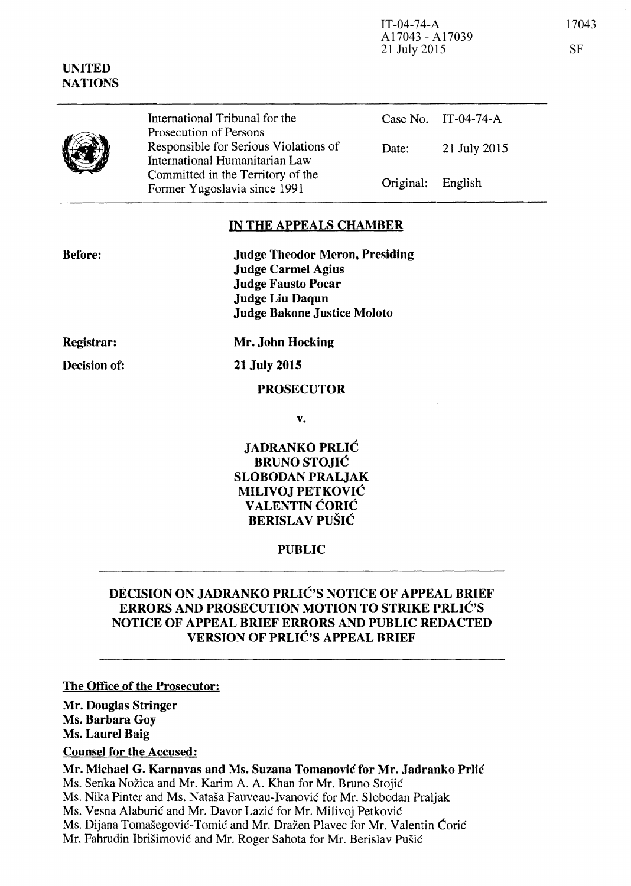IT-04-74-A 17043 A17043 - A17039 21 July 2015 SF

|  | International Tribunal for the<br>Prosecution of Persons                |                   | Case No. IT-04-74-A |
|--|-------------------------------------------------------------------------|-------------------|---------------------|
|  | Responsible for Serious Violations of<br>International Humanitarian Law | Date:             | 21 July 2015        |
|  | Committed in the Territory of the<br>Former Yugoslavia since 1991       | Original: English |                     |

## IN THE APPEALS CHAMBER

Judge Theodor Meron, Presiding Judge Carmel Agius Judge Fausto Pocar Judge Liu Daqun Judge Bakone Justice Moloto

Registrar:

Decision of:

21 July 2015

Mr. John Hocking

#### PROSECUTOR

v.

JADRANKO PRLIC BRUNO STOJIC SLOBODAN PRALJAK MILIVOJ PETKOVIC VALENTIN CORIC BERISLAV PUŠIĆ

#### PUBLIC

# DECISION ON JADRANKO PRLIC'S NOTICE OF APPEAL BRIEF ERRORS AND PROSECUTION MOTION TO STRIKE PRLIC'S NOTICE OF APPEAL BRIEF ERRORS AND PUBLIC REDACTED VERSION OF PRLIC'S APPEAL BRIEF

#### The Office of the Prosecutor:

Mr. Douglas Stringer

Ms. Barbara Goy

Ms. Laurel Baig

Counsel for the Accused:

Mr. Michael G. Karnavas and Ms. Suzana Tomanovic for Mr. Jadranko Prlic

Ms. Senka Nožica and Mr. Karim A. A. Khan for Mr. Bruno Stojić

Ms. Nika Pinter and Ms. Natasa Fauveau-Ivanovie for Mr. Slobodan Praljak

Ms. Vesna Alaburić and Mr. Davor Lazić for Mr. Milivoj Petković

Ms. Dijana Tomašegović-Tomić and Mr. Dražen Plavec for Mr. Valentin Ćorić

Mr. Fahrudin Ibrišimović and Mr. Roger Sahota for Mr. Berislav Pušić



Before: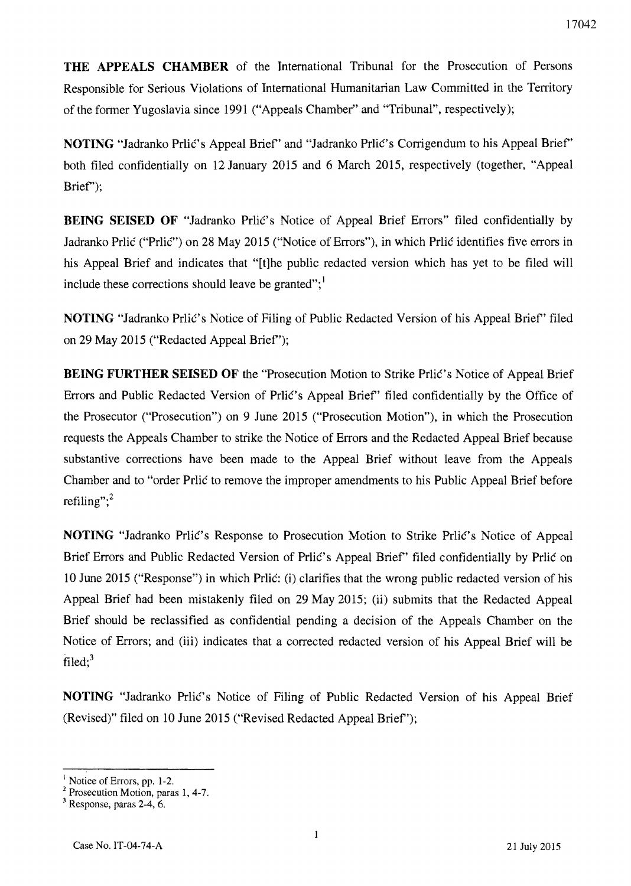**THE APPEALS CHAMBER** of the International Tribunal for the Prosecution of Persons Responsible for Serious Violations of International Humanitarian Law Committed in the Territory of the fonner Yugoslavia since 1991 ("Appeals Chamber" and "Tribunal", respectively);

**NOTING** "Jadranko Prlic's Appeal Brief" and "Jadranko Prlic's Corrigendum to his Appeal Brief" both filed confidentially on 12 January 2015 and 6 March 2015, respectively (together, "Appeal Brief');

**BEING SEISED OF "Jadranko Prlic's Notice of Appeal Brief Errors" filed confidentially by** Jadranko Prlić ("Prlić") on 28 May 2015 ("Notice of Errors"), in which Prlić identifies five errors in his Appeal Brief and indicates that "[t]he public redacted version which has yet to be filed will include these corrections should leave be granted"; $<sup>1</sup>$ </sup>

**NOTING** "Jadranko Prlić's Notice of Filing of Public Redacted Version of his Appeal Brief" filed on 29 May 2015 ("Redacted Appeal Brief');

**BEING FURTHER SEISED OF the "Prosecution Motion to Strike Priic's Notice of Appeal Brief** Errors and Public Redacted Version of Priic's Appeal Brief' filed confidentially by the Office of the Prosecutor ("Prosecution") on 9 June 2015 ("Prosecution Motion"), in which the Prosecution requests the Appeals Chamber to strike the Notice of Errors and the Redacted Appeal Brief because substantive corrections have been made to the Appeal Brief without leave from the Appeals Chamber and to "order Prlic to remove the improper amendments to his Public Appeal Brief before refiling"; $<sup>2</sup>$ </sup>

**NOTING** "Jadranko Prlic's Response to Prosecution Motion to Strike Prlic's Notice of Appeal Brief Errors and Public Redacted Version of Prlic's Appeal Brief" filed confidentially by Prlic on 10 June 2015 ("Response") in which Prlić: (i) clarifies that the wrong public redacted version of his Appeal Brief had been mistakenly filed on 29 May 2015; (ii) submits that the Redacted Appeal Brief should be reclassified as confidential pending a decision of the Appeals Chamber on the Notice of Errors; and (iii) indicates that a corrected redacted version of his Appeal Brief will be filed; $3$ 

**NOTING** "Jadranko Prlić's Notice of Filing of Public Redacted Version of his Appeal Brief (Revised)" filed on 10 lune 2015 ("Revised Redacted Appeal Brief');

 $<sup>1</sup>$  Notice of Errors, pp. 1-2.</sup>

<sup>2</sup> Prosecution Motion, paras 1, 4-7.

 $3$  Response, paras 2-4, 6.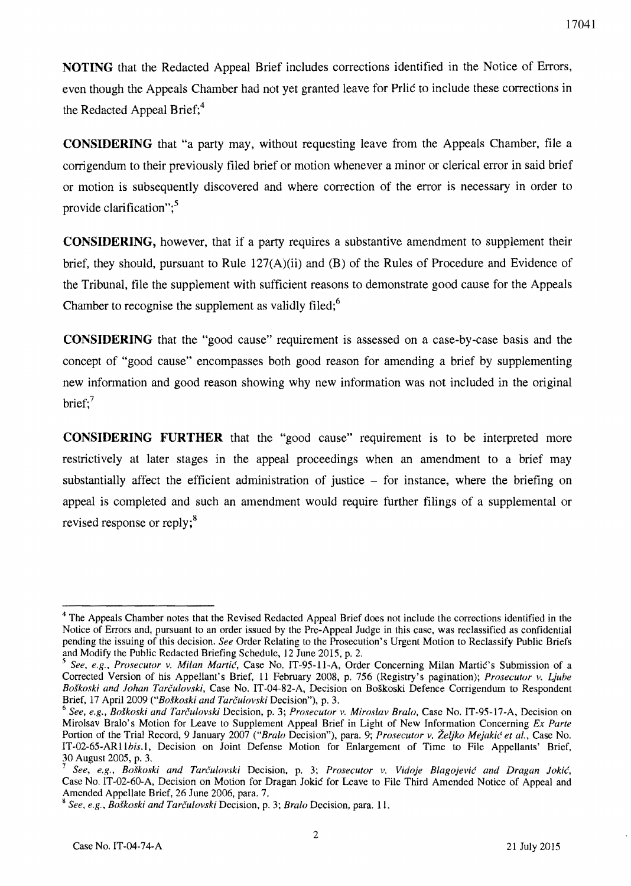**NOTING** that the Redacted Appeal Brief includes corrections identified in the Notice of Errors, even though the Appeals Chamber had not yet granted leave for Prlic to include these corrections in the Redacted Appeal Brief;<sup>4</sup>

**CONSIDERING** that "a party may, without requesting leave from the Appeals Chamber, file a corrigendum to their previously filed brief or motion whenever a minor or clerical error in said brief or motion is subsequently discovered and where correction of the error is necessary in order to provide clarification": $5$ 

**CONSIDERING,** however. that if a party requires a substantive amendment to supplement their brief. they should. pursuant to Rule 127(A)(ii) and (B) of the Rules of Procedure and Evidence of the Tribunal. file the supplement with sufficient reasons to demonstrate good cause for the Appeals Chamber to recognise the supplement as validly filed; $<sup>6</sup>$ </sup>

**CONSIDERING** that the "good cause" requirement is assessed on a case-by-case basis and the concept of "good cause" encompasses both good reason for amending a brief by supplementing new information and good reason showing why new information was not included in the original brief: $7$ 

**CONSIDERING FURTHER** that the "good cause" requirement is to be interpreted more restrictively at later stages in the appeal proceedings when an amendment to a brief may substantially affect the efficient administration of justice – for instance, where the briefing on appeal is completed and such an amendment would require further filings of a supplemental or revised response or reply;<sup>8</sup>

<sup>&</sup>lt;sup>4</sup> The Appeals Chamber notes that the Revised Redacted Appeal Brief does not include the corrections identified in the Notice of Errors and, pursuant to an order issued by the Pre-Appeal Judge in this case, was reclassified as confidential pending the issuing of this decision. *See* Order Relating to the Prosecution's Urgent Motion to Reclassify Public Briefs and Modify the Public Redacted Briefing Schedule, 12 June 2015, p. 2.

<sup>5</sup>*See, e.g., Prosecutor v. Milan Martie,* Case No. IT-95-11-A, Order Concerning Milan Martie's Submission of a Corrected Version of his Appellant's Brief, 11 February 2008, p. 756 (Registry's pagination); *Prosecutor v. Ljube Boskoski and lohan Tarculovski,* Case No. IT-04-82-A. Decision on Boskoski Defence Corrigendum to Respondent Brief, 17 April 2009 *("Boskoski and Tarculovski* Decision"), p. 3.

*<sup>6</sup> See, e.g., Boskoski and Tarculovski* Decision, p. 3; *Prosecutor v. Miroslav Bralo.* Case No. IT-95-17-A, Decision on Mirolsav Bralo's Motion for Leave to Supplement Appeal Brief in Light of New Information Concerning *Ex Parte*  Portion of the Trial Record, 9 January 2007 *("Bralo* Decision"), para. 9; *Prosecutor v. Zeljko Mejakie et al.,* Case No. IT-02-65-ARllhis.l, Decision on Joint Defense Motion for Enlargement of Time to File Appellants' Brief, 30 August 2005, p. 3.

<sup>7</sup>*See, e.g., Boskoski and Tarculovski* Decision, p. 3; *Prosecutor v. Vidoje Blagojevie and Dragan lokie,*  Case No. IT-02-60-A, Decision on Motion for Dragan Jokie for Leave to File Third Amended Notice of Appeal and Amended Appellate Brief, 26 June 2006, para. 7.

<sup>K</sup>*See, e.g., Boskoski and Tarcu/ovski* Decision, p. 3; *Bralo* Decision, para. 11.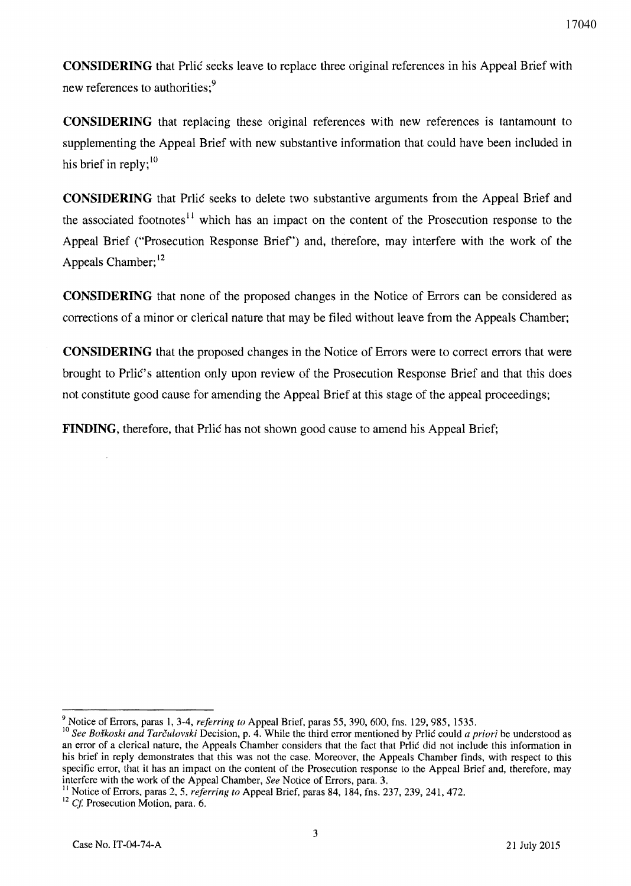**CONSIDERING** that Prlic seeks leave to replace three original references in his Appeal Brief with new references to authorities;<sup>9</sup>

**CONSIDERING** that replacing these original references with new references is tantamount to supplementing the Appeal Brief with new substantive information that could have been included in his brief in reply: $\frac{10}{10}$ 

**CONSIDERING** that Prlic seeks to delete two substantive arguments from the Appeal Brief and the associated footnotes<sup> $11$ </sup> which has an impact on the content of the Prosecution response to the Appeal Brief ("Prosecution Response Brief') and, therefore, may interfere with the work of the Appeals Chamber;<sup>12</sup>

**CONSIDERING** that none of the proposed changes in the Notice of Errors can be considered as corrections of a minor or clerical nature that may be filed without leave from the Appeals Chamber;

**CONSIDERING** that the proposed changes in the Notice of Errors were to correct errors that were brought to PrliC's attention only upon review of the Prosecution Response Brief and that this does not constitute good cause for amending the Appeal Brief at this stage of the appeal proceedings;

**FINDING,** therefore, that Prlic has not shown good cause to amend his Appeal Brief;

<sup>9</sup> Notice of Errors, paras 1,3-4, *referring to* Appeal Brief. paras 55,390,600, fns. 129,985. 1535.

<sup>&</sup>lt;sup>10</sup> See Boškoski and Tarčulovski Decision, p. 4. While the third error mentioned by Prlic could *a priori* be understood as an error of a clerical nature, the Appeals Chamber considers that the fact that Prlic did not include this information in his brief in reply demonstrates that this was not the case. Moreover, the Appeals Chamber finds, with respect to this specific error, that it has an impact on the content of the Prosecution response to the Appeal Brief and, therefore. may interfere with the work of the Appeal Chamber, *See* Notice of Errors, para. 3.

II Notice of Errors, paras 2, 5, *referring to* Appeal Brief, paras 84, 184, fns. 237, 239, 241, 472.

 $12$  Cf. Prosecution Motion, para. 6.